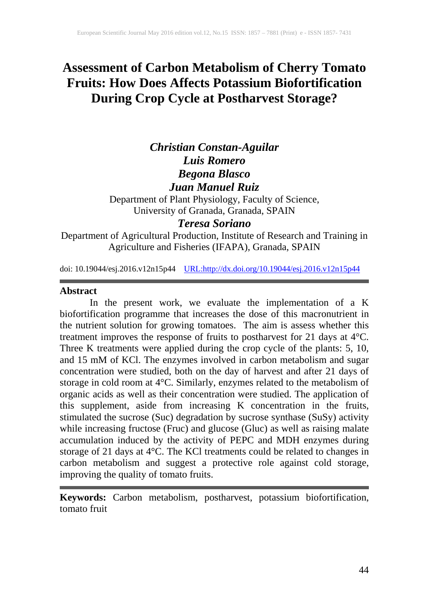# **Assessment of Carbon Metabolism of Cherry Tomato Fruits: How Does Affects Potassium Biofortification During Crop Cycle at Postharvest Storage?**

## *Christian Constan-Aguilar Luis Romero Begona Blasco Juan Manuel Ruiz*

Department of Plant Physiology, Faculty of Science, University of Granada, Granada, SPAIN

## *Teresa Soriano*

Department of Agricultural Production, Institute of Research and Training in Agriculture and Fisheries (IFAPA), Granada, SPAIN

doi: 10.19044/esj.2016.v12n15p44 [URL:http://dx.doi.org/10.19044/esj.2016.v12n15p44](http://dx.doi.org/10.19044/esj.2016.v12n15p44)

## **Abstract**

In the present work, we evaluate the implementation of a K biofortification programme that increases the dose of this macronutrient in the nutrient solution for growing tomatoes. The aim is assess whether this treatment improves the response of fruits to postharvest for 21 days at 4°C. Three K treatments were applied during the crop cycle of the plants: 5, 10, and 15 mM of KCl. The enzymes involved in carbon metabolism and sugar concentration were studied, both on the day of harvest and after 21 days of storage in cold room at 4°C. Similarly, enzymes related to the metabolism of organic acids as well as their concentration were studied. The application of this supplement, aside from increasing K concentration in the fruits, stimulated the sucrose (Suc) degradation by sucrose synthase (SuSy) activity while increasing fructose (Fruc) and glucose (Gluc) as well as raising malate accumulation induced by the activity of PEPC and MDH enzymes during storage of 21 days at 4°C. The KCl treatments could be related to changes in carbon metabolism and suggest a protective role against cold storage, improving the quality of tomato fruits.

**Keywords:** Carbon metabolism, postharvest, potassium biofortification, tomato fruit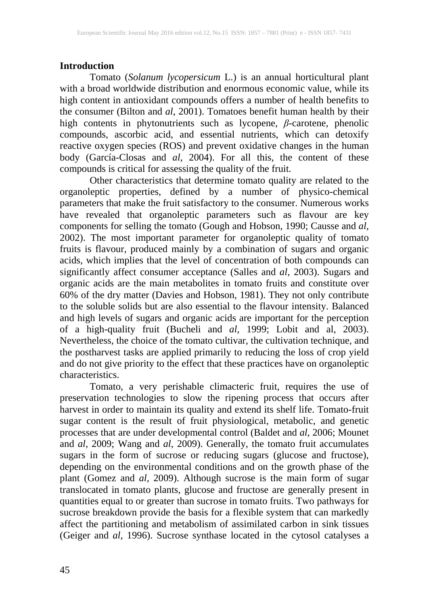## **Introduction**

Tomato (*Solanum lycopersicum* L.) is an annual horticultural plant with a broad worldwide distribution and enormous economic value, while its high content in antioxidant compounds offers a number of health benefits to the consumer (Bilton and *al*, 2001). Tomatoes benefit human health by their high contents in phytonutrients such as lycopene, *β*-carotene, phenolic compounds, ascorbic acid, and essential nutrients, which can detoxify reactive oxygen species (ROS) and prevent oxidative changes in the human body (García-Closas and *al*, 2004). For all this, the content of these compounds is critical for assessing the quality of the fruit.

Other characteristics that determine tomato quality are related to the organoleptic properties, defined by a number of physico-chemical parameters that make the fruit satisfactory to the consumer. Numerous works have revealed that organoleptic parameters such as flavour are key components for selling the tomato (Gough and Hobson, 1990; Causse and *al*, 2002). The most important parameter for organoleptic quality of tomato fruits is flavour, produced mainly by a combination of sugars and organic acids, which implies that the level of concentration of both compounds can significantly affect consumer acceptance (Salles and *al*, 2003). Sugars and organic acids are the main metabolites in tomato fruits and constitute over 60% of the dry matter (Davies and Hobson, 1981). They not only contribute to the soluble solids but are also essential to the flavour intensity. Balanced and high levels of sugars and organic acids are important for the perception of a high-quality fruit (Bucheli and *al*, 1999; Lobit and al, 2003). Nevertheless, the choice of the tomato cultivar, the cultivation technique, and the postharvest tasks are applied primarily to reducing the loss of crop yield and do not give priority to the effect that these practices have on organoleptic characteristics.

Tomato, a very perishable climacteric fruit, requires the use of preservation technologies to slow the ripening process that occurs after harvest in order to maintain its quality and extend its shelf life. Tomato-fruit sugar content is the result of fruit physiological, metabolic, and genetic processes that are under developmental control (Baldet and *al*, 2006; Mounet and *al*, 2009; Wang and *al*, 2009). Generally, the tomato fruit accumulates sugars in the form of sucrose or reducing sugars (glucose and fructose), depending on the environmental conditions and on the growth phase of the plant (Gomez and *al*, 2009). Although sucrose is the main form of sugar translocated in tomato plants, glucose and fructose are generally present in quantities equal to or greater than sucrose in tomato fruits. Two pathways for sucrose breakdown provide the basis for a flexible system that can markedly affect the partitioning and metabolism of assimilated carbon in sink tissues (Geiger and *al*, 1996). Sucrose synthase located in the cytosol catalyses a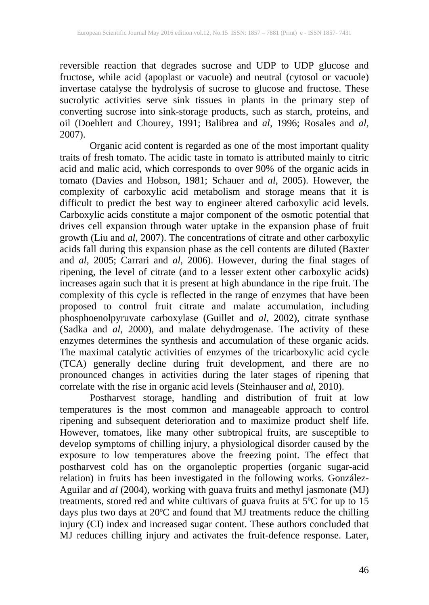reversible reaction that degrades sucrose and UDP to UDP glucose and fructose, while acid (apoplast or vacuole) and neutral (cytosol or vacuole) invertase catalyse the hydrolysis of sucrose to glucose and fructose. These sucrolytic activities serve sink tissues in plants in the primary step of converting sucrose into sink-storage products, such as starch, proteins, and oil (Doehlert and Chourey, 1991; Balibrea and *al*, 1996; Rosales and *al*, 2007).

Organic acid content is regarded as one of the most important quality traits of fresh tomato. The acidic taste in tomato is attributed mainly to citric acid and malic acid, which corresponds to over 90% of the organic acids in tomato (Davies and Hobson, 1981; Schauer and *al*, 2005). However, the complexity of carboxylic acid metabolism and storage means that it is difficult to predict the best way to engineer altered carboxylic acid levels. Carboxylic acids constitute a major component of the osmotic potential that drives cell expansion through water uptake in the expansion phase of fruit growth (Liu and *al*, 2007). The concentrations of citrate and other carboxylic acids fall during this expansion phase as the cell contents are diluted (Baxter and *al*, 2005; Carrari and *al*, 2006). However, during the final stages of ripening, the level of citrate (and to a lesser extent other carboxylic acids) increases again such that it is present at high abundance in the ripe fruit. The complexity of this cycle is reflected in the range of enzymes that have been proposed to control fruit citrate and malate accumulation, including phosphoenolpyruvate carboxylase (Guillet and *al*, 2002), citrate synthase (Sadka and *al*, 2000), and malate dehydrogenase. The activity of these enzymes determines the synthesis and accumulation of these organic acids. The maximal catalytic activities of enzymes of the tricarboxylic acid cycle (TCA) generally decline during fruit development, and there are no pronounced changes in activities during the later stages of ripening that correlate with the rise in organic acid levels (Steinhauser and *al*, 2010).

Postharvest storage, handling and distribution of fruit at low temperatures is the most common and manageable approach to control ripening and subsequent deterioration and to maximize product shelf life. However, tomatoes, like many other subtropical fruits, are susceptible to develop symptoms of chilling injury, a physiological disorder caused by the exposure to low temperatures above the freezing point. The effect that postharvest cold has on the organoleptic properties (organic sugar-acid relation) in fruits has been investigated in the following works. González-Aguilar and *al* (2004), working with guava fruits and methyl jasmonate (MJ) treatments, stored red and white cultivars of guava fruits at 5ºC for up to 15 days plus two days at 20ºC and found that MJ treatments reduce the chilling injury (CI) index and increased sugar content. These authors concluded that MJ reduces chilling injury and activates the fruit-defence response. Later,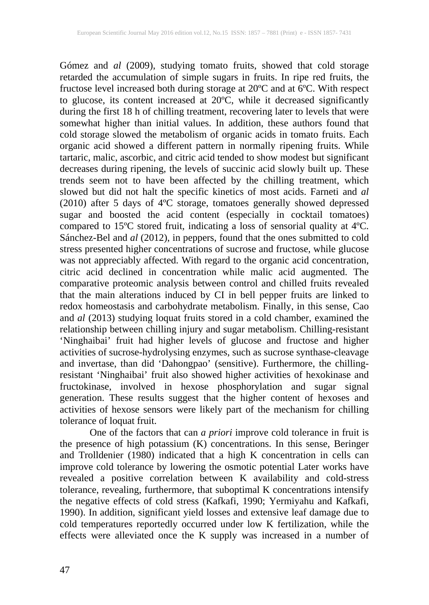Gómez and *al* (2009), studying tomato fruits, showed that cold storage retarded the accumulation of simple sugars in fruits. In ripe red fruits, the fructose level increased both during storage at 20ºC and at 6ºC. With respect to glucose, its content increased at 20ºC, while it decreased significantly during the first 18 h of chilling treatment, recovering later to levels that were somewhat higher than initial values. In addition, these authors found that cold storage slowed the metabolism of organic acids in tomato fruits. Each organic acid showed a different pattern in normally ripening fruits. While tartaric, malic, ascorbic, and citric acid tended to show modest but significant decreases during ripening, the levels of succinic acid slowly built up. These trends seem not to have been affected by the chilling treatment, which slowed but did not halt the specific kinetics of most acids. Farneti and *al* (2010) after 5 days of 4ºC storage, tomatoes generally showed depressed sugar and boosted the acid content (especially in cocktail tomatoes) compared to 15ºC stored fruit, indicating a loss of sensorial quality at 4ºC. Sánchez-Bel and *al* (2012), in peppers, found that the ones submitted to cold stress presented higher concentrations of sucrose and fructose, while glucose was not appreciably affected. With regard to the organic acid concentration, citric acid declined in concentration while malic acid augmented. The comparative proteomic analysis between control and chilled fruits revealed that the main alterations induced by CI in bell pepper fruits are linked to redox homeostasis and carbohydrate metabolism. Finally, in this sense, Cao and *al* (2013) studying loquat fruits stored in a cold chamber, examined the relationship between chilling injury and sugar metabolism. Chilling-resistant 'Ninghaibai' fruit had higher levels of glucose and fructose and higher activities of sucrose-hydrolysing enzymes, such as sucrose synthase-cleavage and invertase, than did 'Dahongpao' (sensitive). Furthermore, the chillingresistant 'Ninghaibai' fruit also showed higher activities of hexokinase and fructokinase, involved in hexose phosphorylation and sugar signal generation. These results suggest that the higher content of hexoses and activities of hexose sensors were likely part of the mechanism for chilling tolerance of loquat fruit.

One of the factors that can *a priori* improve cold tolerance in fruit is the presence of high potassium (K) concentrations. In this sense, Beringer and Trolldenier (1980) indicated that a high K concentration in cells can improve cold tolerance by lowering the osmotic potential Later works have revealed a positive correlation between K availability and cold-stress tolerance, revealing, furthermore, that suboptimal K concentrations intensify the negative effects of cold stress (Kafkafi, 1990; Yermiyahu and Kafkafi, 1990). In addition, significant yield losses and extensive leaf damage due to cold temperatures reportedly occurred under low K fertilization, while the effects were alleviated once the K supply was increased in a number of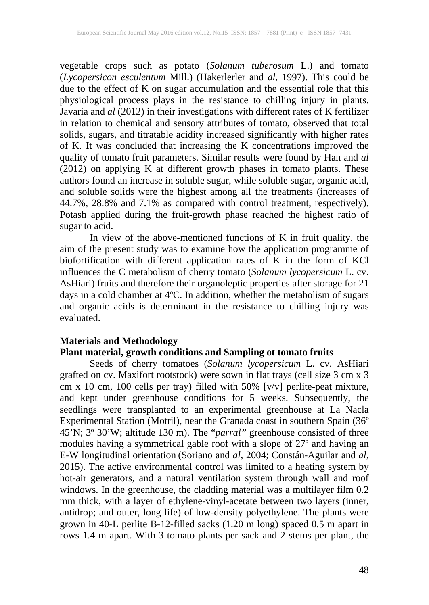vegetable crops such as potato (*Solanum tuberosum* L.) and tomato (*Lycopersicon esculentum* Mill.) (Hakerlerler and *al*, 1997). This could be due to the effect of K on sugar accumulation and the essential role that this physiological process plays in the resistance to chilling injury in plants. Javaria and *al* (2012) in their investigations with different rates of K fertilizer in relation to chemical and sensory attributes of tomato, observed that total solids, sugars, and titratable acidity increased significantly with higher rates of K. It was concluded that increasing the K concentrations improved the quality of tomato fruit parameters. Similar results were found by Han and *al* (2012) on applying K at different growth phases in tomato plants. These authors found an increase in soluble sugar, while soluble sugar, organic acid, and soluble solids were the highest among all the treatments (increases of 44.7%, 28.8% and 7.1% as compared with control treatment, respectively). Potash applied during the fruit-growth phase reached the highest ratio of sugar to acid.

In view of the above-mentioned functions of K in fruit quality, the aim of the present study was to examine how the application programme of biofortification with different application rates of K in the form of KCl influences the C metabolism of cherry tomato (*Solanum lycopersicum* L. cv. AsHiari) fruits and therefore their organoleptic properties after storage for 21 days in a cold chamber at 4ºC. In addition, whether the metabolism of sugars and organic acids is determinant in the resistance to chilling injury was evaluated.

### **Materials and Methodology**

#### **Plant material, growth conditions and Sampling ot tomato fruits**

Seeds of cherry tomatoes (*Solanum lycopersicum* L. cv. AsHiari grafted on cv. Maxifort rootstock) were sown in flat trays (cell size 3 cm x 3 cm x 10 cm, 100 cells per tray) filled with 50% [v/v] perlite-peat mixture, and kept under greenhouse conditions for 5 weeks. Subsequently, the seedlings were transplanted to an experimental greenhouse at La Nacla Experimental Station (Motril), near the Granada coast in southern Spain (36º 45'N; 3º 30'W; altitude 130 m). The "*parral"* greenhouse consisted of three modules having a symmetrical gable roof with a slope of 27º and having an E-W longitudinal orientation (Soriano and *al*, 2004; Constán-Aguilar and *al*, 2015). The active environmental control was limited to a heating system by hot-air generators, and a natural ventilation system through wall and roof windows. In the greenhouse, the cladding material was a multilayer film 0.2 mm thick, with a layer of ethylene-vinyl-acetate between two layers (inner, antidrop; and outer, long life) of low-density polyethylene. The plants were grown in 40-L perlite B-12-filled sacks (1.20 m long) spaced 0.5 m apart in rows 1.4 m apart. With 3 tomato plants per sack and 2 stems per plant, the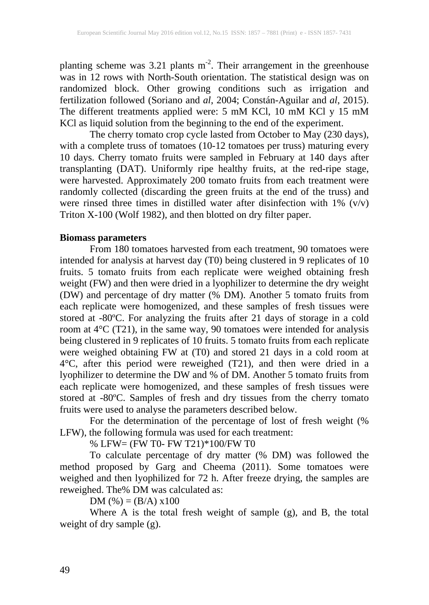planting scheme was  $3.21$  plants m<sup>-2</sup>. Their arrangement in the greenhouse was in 12 rows with North-South orientation. The statistical design was on randomized block. Other growing conditions such as irrigation and fertilization followed (Soriano and *al*, 2004; Constán-Aguilar and *al*, 2015). The different treatments applied were: 5 mM KCl, 10 mM KCl y 15 mM KCl as liquid solution from the beginning to the end of the experiment.

The cherry tomato crop cycle lasted from October to May (230 days), with a complete truss of tomatoes (10-12 tomatoes per truss) maturing every 10 days. Cherry tomato fruits were sampled in February at 140 days after transplanting (DAT). Uniformly ripe healthy fruits, at the red-ripe stage, were harvested. Approximately 200 tomato fruits from each treatment were randomly collected (discarding the green fruits at the end of the truss) and were rinsed three times in distilled water after disinfection with  $1\%$  (v/v) Triton X-100 (Wolf 1982), and then blotted on dry filter paper.

### **Biomass parameters**

From 180 tomatoes harvested from each treatment, 90 tomatoes were intended for analysis at harvest day (T0) being clustered in 9 replicates of 10 fruits. 5 tomato fruits from each replicate were weighed obtaining fresh weight (FW) and then were dried in a lyophilizer to determine the dry weight (DW) and percentage of dry matter (% DM). Another 5 tomato fruits from each replicate were homogenized, and these samples of fresh tissues were stored at -80ºC. For analyzing the fruits after 21 days of storage in a cold room at 4°C (T21), in the same way, 90 tomatoes were intended for analysis being clustered in 9 replicates of 10 fruits. 5 tomato fruits from each replicate were weighed obtaining FW at (T0) and stored 21 days in a cold room at 4°C, after this period were reweighed (T21), and then were dried in a lyophilizer to determine the DW and % of DM. Another 5 tomato fruits from each replicate were homogenized, and these samples of fresh tissues were stored at -80ºC. Samples of fresh and dry tissues from the cherry tomato fruits were used to analyse the parameters described below.

For the determination of the percentage of lost of fresh weight (% LFW), the following formula was used for each treatment:

% LFW= (FW T0- FW T21)\*100/FW T0

To calculate percentage of dry matter (% DM) was followed the method proposed by Garg and Cheema (2011). Some tomatoes were weighed and then lyophilized for 72 h. After freeze drying, the samples are reweighed. The% DM was calculated as:

DM  $(\% ) = (B/A) \times 100$ 

Where A is the total fresh weight of sample (g), and B, the total weight of dry sample (g).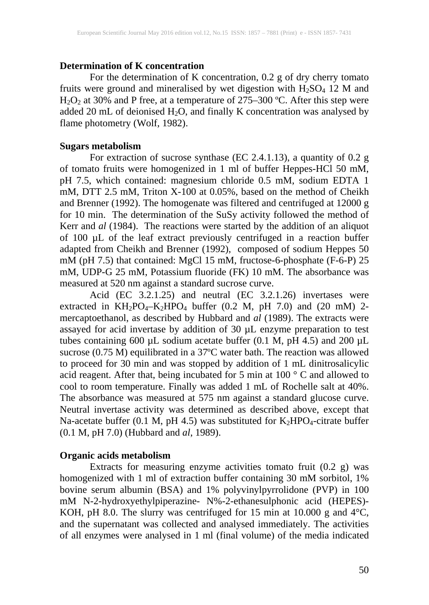#### **Determination of K concentration**

For the determination of K concentration, 0.2 g of dry cherry tomato fruits were ground and mineralised by wet digestion with  $H_2SO_4$  12 M and  $H_2O_2$  at 30% and P free, at a temperature of 275–300 °C. After this step were added 20 mL of deionised  $H_2O$ , and finally K concentration was analysed by flame photometry (Wolf, 1982).

## **Sugars metabolism**

For extraction of sucrose synthase (EC 2.4.1.13), a quantity of 0.2 g of tomato fruits were homogenized in 1 ml of buffer Heppes-HCl 50 mM, pH 7.5, which contained: magnesium chloride 0.5 mM, sodium EDTA 1 mM, DTT 2.5 mM, Triton X-100 at 0.05%, based on the method of Cheikh and Brenner (1992). The homogenate was filtered and centrifuged at 12000 g for 10 min. The determination of the SuSy activity followed the method of Kerr and *al* (1984). The reactions were started by the addition of an aliquot of 100 µL of the leaf extract previously centrifuged in a reaction buffer adapted from Cheikh and Brenner (1992), composed of sodium Heppes 50 mM (pH 7.5) that contained: MgCl 15 mM, fructose-6-phosphate (F-6-P) 25 mM, UDP-G 25 mM, Potassium fluoride (FK) 10 mM. The absorbance was measured at 520 nm against a standard sucrose curve.

Acid (EC 3.2.1.25) and neutral (EC 3.2.1.26) invertases were extracted in  $KH_2PO_4-K_2HPO_4$  buffer (0.2 M, pH 7.0) and (20 mM) 2mercaptoethanol, as described by Hubbard and *al* (1989). The extracts were assayed for acid invertase by addition of 30 µL enzyme preparation to test tubes containing 600  $\mu$ L sodium acetate buffer (0.1 M, pH 4.5) and 200  $\mu$ L sucrose (0.75 M) equilibrated in a 37ºC water bath. The reaction was allowed to proceed for 30 min and was stopped by addition of 1 mL dinitrosalicylic acid reagent. After that, being incubated for 5 min at  $100\degree$  C and allowed to cool to room temperature. Finally was added 1 mL of Rochelle salt at 40%. The absorbance was measured at 575 nm against a standard glucose curve. Neutral invertase activity was determined as described above, except that Na-acetate buffer (0.1 M, pH 4.5) was substituted for  $K_2HPO_4$ -citrate buffer (0.1 M, pH 7.0) (Hubbard and *al*, 1989).

#### **Organic acids metabolism**

Extracts for measuring enzyme activities tomato fruit (0.2 g) was homogenized with 1 ml of extraction buffer containing 30 mM sorbitol, 1% bovine serum albumin (BSA) and 1% polyvinylpyrrolidone (PVP) in 100 mM N-2-hydroxyethylpiperazine- N%-2-ethanesulphonic acid (HEPES)- KOH, pH 8.0. The slurry was centrifuged for 15 min at 10.000 g and  $4^{\circ}$ C, and the supernatant was collected and analysed immediately. The activities of all enzymes were analysed in 1 ml (final volume) of the media indicated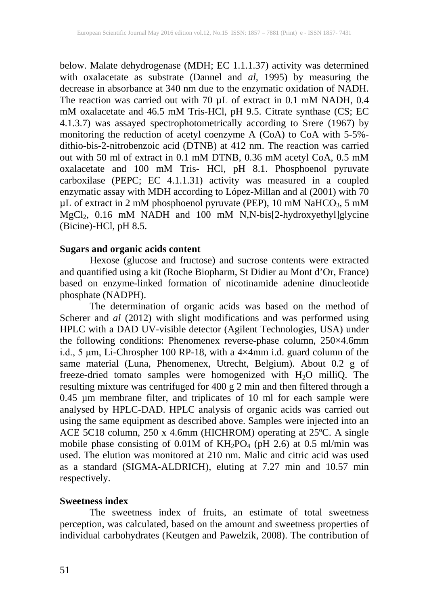below. Malate dehydrogenase (MDH; EC 1.1.1.37) activity was determined with oxalacetate as substrate (Dannel and *al*, 1995) by measuring the decrease in absorbance at 340 nm due to the enzymatic oxidation of NADH. The reaction was carried out with 70 µL of extract in 0.1 mM NADH, 0.4 mM oxalacetate and 46.5 mM Tris-HCl, pH 9.5. Citrate synthase (CS; EC 4.1.3.7) was assayed spectrophotometrically according to Srere (1967) by monitoring the reduction of acetyl coenzyme A (CoA) to CoA with 5-5% dithio-bis-2-nitrobenzoic acid (DTNB) at 412 nm. The reaction was carried out with 50 ml of extract in 0.1 mM DTNB, 0.36 mM acetyl CoA, 0.5 mM oxalacetate and 100 mM Tris- HCl, pH 8.1. Phosphoenol pyruvate carboxilase (PEPC; EC 4.1.1.31) activity was measured in a coupled enzymatic assay with MDH according to López-Millan and al (2001) with 70  $\mu$ L of extract in 2 mM phosphoenol pyruvate (PEP), 10 mM NaHCO<sub>3</sub>, 5 mM MgCl2, 0.16 mM NADH and 100 mM N,N-bis[2-hydroxyethyl]glycine (Bicine)-HCl, pH 8.5.

## **Sugars and organic acids content**

Hexose (glucose and fructose) and sucrose contents were extracted and quantified using a kit (Roche Biopharm, St Didier au Mont d'Or, France) based on enzyme-linked formation of nicotinamide adenine dinucleotide phosphate (NADPH).

The determination of organic acids was based on the method of Scherer and *al* (2012) with slight modifications and was performed using HPLC with a DAD UV-visible detector (Agilent Technologies, USA) under the following conditions: Phenomenex reverse-phase column, 250×4.6mm i.d., 5 μm, Li-Chrospher 100 RP-18, with a 4×4mm i.d. guard column of the same material (Luna, Phenomenex, Utrecht, Belgium). About 0.2 g of freeze-dried tomato samples were homogenized with  $H_2O$  milliQ. The resulting mixture was centrifuged for 400 g 2 min and then filtered through a 0.45 µm membrane filter, and triplicates of 10 ml for each sample were analysed by HPLC-DAD. HPLC analysis of organic acids was carried out using the same equipment as described above. Samples were injected into an ACE 5C18 column, 250 x 4.6mm (HICHROM) operating at 25ºC. A single mobile phase consisting of  $0.01M$  of  $KH_2PO_4$  (pH 2.6) at 0.5 ml/min was used. The elution was monitored at 210 nm. Malic and citric acid was used as a standard (SIGMA-ALDRICH), eluting at 7.27 min and 10.57 min respectively.

#### **Sweetness index**

The sweetness index of fruits, an estimate of total sweetness perception, was calculated, based on the amount and sweetness properties of individual carbohydrates (Keutgen and Pawelzik, 2008). The contribution of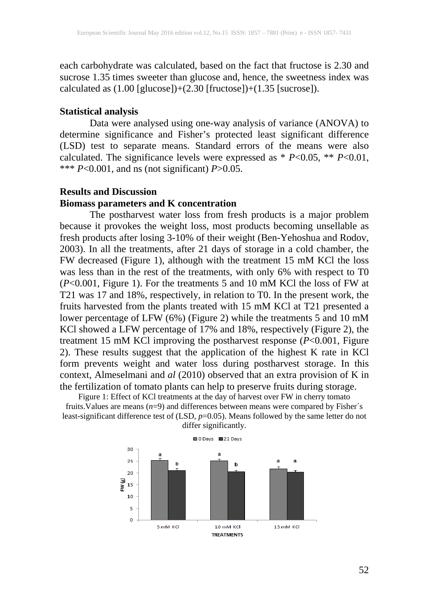each carbohydrate was calculated, based on the fact that fructose is 2.30 and sucrose 1.35 times sweeter than glucose and, hence, the sweetness index was calculated as  $(1.00$  [glucose])+ $(2.30$  [fructose])+ $(1.35$  [sucrose]).

#### **Statistical analysis**

Data were analysed using one-way analysis of variance (ANOVA) to determine significance and Fisher's protected least significant difference (LSD) test to separate means. Standard errors of the means were also calculated. The significance levels were expressed as \* *P*<0.05, \*\* *P*<0.01, \*\*\*  $P \le 0.001$ , and ns (not significant)  $P > 0.05$ .

#### **Results and Discussion**

#### **Biomass parameters and K concentration**

The postharvest water loss from fresh products is a major problem because it provokes the weight loss, most products becoming unsellable as fresh products after losing 3-10% of their weight (Ben-Yehoshua and Rodov, 2003). In all the treatments, after 21 days of storage in a cold chamber, the FW decreased (Figure 1), although with the treatment 15 mM KCl the loss was less than in the rest of the treatments, with only 6% with respect to T0 (*P*<0.001, Figure 1). For the treatments 5 and 10 mM KCl the loss of FW at T21 was 17 and 18%, respectively, in relation to T0. In the present work, the fruits harvested from the plants treated with 15 mM KCl at T21 presented a lower percentage of LFW (6%) (Figure 2) while the treatments 5 and 10 mM KCl showed a LFW percentage of 17% and 18%, respectively (Figure 2), the treatment 15 mM KCl improving the postharvest response (*P*<0.001, Figure 2). These results suggest that the application of the highest K rate in KCl form prevents weight and water loss during postharvest storage. In this context, Almeselmani and *al* (2010) observed that an extra provision of K in the fertilization of tomato plants can help to preserve fruits during storage.

Figure 1: Effect of KCl treatments at the day of harvest over FW in cherry tomato fruits. Values are means (*n*=9) and differences between means were compared by Fisher's least-significant difference test of (LSD, *p*=0.05). Means followed by the same letter do not



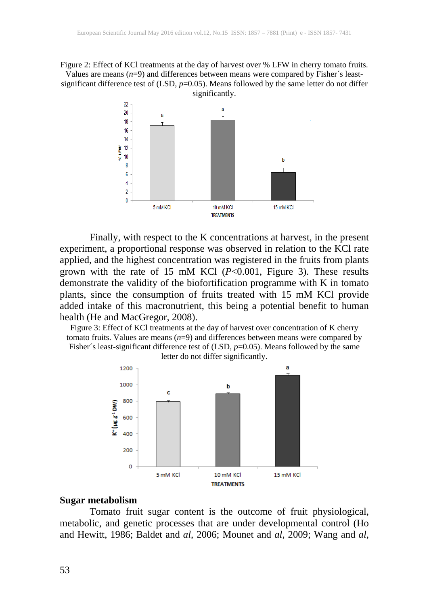Figure 2: Effect of KCl treatments at the day of harvest over % LFW in cherry tomato fruits. Values are means  $(n=9)$  and differences between means were compared by Fisher's leastsignificant difference test of (LSD, *p*=0.05). Means followed by the same letter do not differ significantly.



Finally, with respect to the K concentrations at harvest, in the present experiment, a proportional response was observed in relation to the KCl rate applied, and the highest concentration was registered in the fruits from plants grown with the rate of 15 mM KCl (*P*<0.001, Figure 3). These results demonstrate the validity of the biofortification programme with K in tomato plants, since the consumption of fruits treated with 15 mM KCl provide added intake of this macronutrient, this being a potential benefit to human health (He and MacGregor, 2008).

Figure 3: Effect of KCl treatments at the day of harvest over concentration of K cherry tomato fruits. Values are means  $(n=9)$  and differences between means were compared by Fisher's least-significant difference test of  $(LSD, p=0.05)$ . Means followed by the same





#### **Sugar metabolism**

Tomato fruit sugar content is the outcome of fruit physiological, metabolic, and genetic processes that are under developmental control (Ho and Hewitt, 1986; Baldet and *al*, 2006; Mounet and *al,* 2009; Wang and *al,*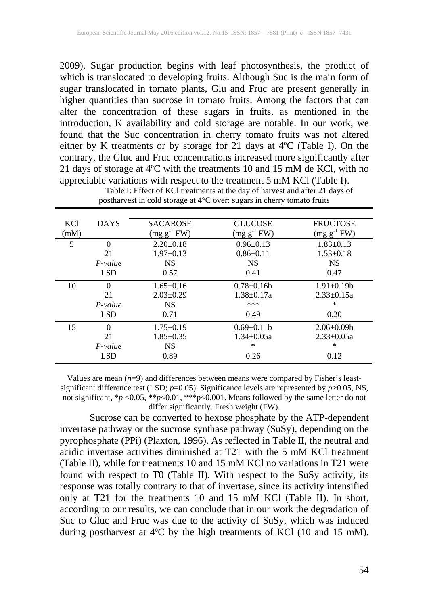2009). Sugar production begins with leaf photosynthesis, the product of which is translocated to developing fruits. Although Suc is the main form of sugar translocated in tomato plants, Glu and Fruc are present generally in higher quantities than sucrose in tomato fruits. Among the factors that can alter the concentration of these sugars in fruits, as mentioned in the introduction, K availability and cold storage are notable. In our work, we found that the Suc concentration in cherry tomato fruits was not altered either by K treatments or by storage for 21 days at 4ºC (Table I). On the contrary, the Gluc and Fruc concentrations increased more significantly after 21 days of storage at 4ºC with the treatments 10 and 15 mM de KCl, with no appreciable variations with respect to the treatment 5 mM KCl (Table I).

| <b>KCl</b> | <b>DAYS</b> | <b>SACAROSE</b>  | <b>GLUCOSE</b>    | <b>FRUCTOSE</b>  |
|------------|-------------|------------------|-------------------|------------------|
| (mM)       |             | $(mg g^{-1} FW)$ | $(mg g^{-1} F W)$ | $(mg g^{-1} FW)$ |
| 5          | $\Omega$    | $2.20 \pm 0.18$  | $0.96 \pm 0.13$   | $1.83 \pm 0.13$  |
|            | 21          | $1.97+0.13$      | $0.86 \pm 0.11$   | $1.53 \pm 0.18$  |
|            | $P-value$   | <b>NS</b>        | <b>NS</b>         | <b>NS</b>        |
|            | <b>LSD</b>  | 0.57             | 0.41              | 0.47             |
| 10         | $\Omega$    | $1.65 \pm 0.16$  | $0.78 \pm 0.16b$  | $1.91 \pm 0.19b$ |
|            | 21          | $2.03 \pm 0.29$  | $1.38 \pm 0.17a$  | $2.33 \pm 0.15a$ |
|            | $P-value$   | <b>NS</b>        | ***               | $\ast$           |
|            | <b>LSD</b>  | 0.71             | 0.49              | 0.20             |
| 15         | $\Omega$    | $1.75 \pm 0.19$  | $0.69 \pm 0.11$   | $2.06 \pm 0.09$  |
|            | 21          | $1.85 \pm 0.35$  | $1.34 \pm 0.05a$  | $2.33 \pm 0.05a$ |
|            | $P-value$   | <b>NS</b>        | $\ast$            | $\ast$           |
|            | <b>LSD</b>  | 0.89             | 0.26              | 0.12             |

Table I: Effect of KCl treatments at the day of harvest and after 21 days of postharvest in cold storage at 4°C over: sugars in cherry tomato fruits

Values are mean  $(n=9)$  and differences between means were compared by Fisher's leastsignificant difference test (LSD; *p*=0.05). Significance levels are represented by *p*>0.05, NS, not significant, \**p* <0.05, \*\**p*<0.01, \*\*\*p<0.001. Means followed by the same letter do not differ significantly. Fresh weight (FW).

Sucrose can be converted to hexose phosphate by the ATP-dependent invertase pathway or the sucrose synthase pathway (SuSy), depending on the pyrophosphate (PPi) (Plaxton, 1996). As reflected in Table II, the neutral and acidic invertase activities diminished at T21 with the 5 mM KCl treatment (Table II), while for treatments 10 and 15 mM KCl no variations in T21 were found with respect to T0 (Table II). With respect to the SuSy activity, its response was totally contrary to that of invertase, since its activity intensified only at T21 for the treatments 10 and 15 mM KCl (Table II). In short, according to our results, we can conclude that in our work the degradation of Suc to Gluc and Fruc was due to the activity of SuSy, which was induced during postharvest at 4ºC by the high treatments of KCl (10 and 15 mM).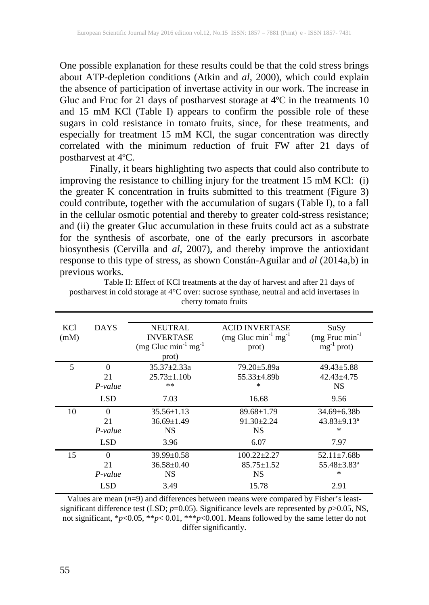One possible explanation for these results could be that the cold stress brings about ATP-depletion conditions (Atkin and *al*, 2000), which could explain the absence of participation of invertase activity in our work. The increase in Gluc and Fruc for 21 days of postharvest storage at 4ºC in the treatments 10 and 15 mM KCl (Table I) appears to confirm the possible role of these sugars in cold resistance in tomato fruits, since, for these treatments, and especially for treatment 15 mM KCl, the sugar concentration was directly correlated with the minimum reduction of fruit FW after 21 days of postharvest at 4ºC.

Finally, it bears highlighting two aspects that could also contribute to improving the resistance to chilling injury for the treatment 15 mM KCl: (i) the greater K concentration in fruits submitted to this treatment (Figure 3) could contribute, together with the accumulation of sugars (Table I), to a fall in the cellular osmotic potential and thereby to greater cold-stress resistance; and (ii) the greater Gluc accumulation in these fruits could act as a substrate for the synthesis of ascorbate, one of the early precursors in ascorbate biosynthesis (Cervilla and *al*, 2007), and thereby improve the antioxidant response to this type of stress, as shown Constán-Aguilar and *al* (2014a,b) in previous works.

| <b>KCI</b> | <b>DAYS</b> | <b>NEUTRAL</b>         | <b>ACID INVERTASE</b>  | SuSy                          |
|------------|-------------|------------------------|------------------------|-------------------------------|
| (mM)       |             | <b>INVERTASE</b>       | $(mg Gluc min-1 mg-1)$ | $(mg$ Fruc $min^{-1}$         |
|            |             | $(mg Gluc min-1 mg-1)$ | prot)                  | $mg^{-1}$ prot)               |
|            |             | prot)                  |                        |                               |
| 5          | 0           | $35.37 \pm 2.33a$      | 79.20±5.89a            | $49.43 \pm 5.88$              |
|            | 21          | $25.73 \pm 1.10$ h     | $55.33\pm4.89b$        | $42.43 \pm 4.75$              |
|            | $P-value$   | $***$                  | ∗                      | <b>NS</b>                     |
|            | <b>LSD</b>  | 7.03                   | 16.68                  | 9.56                          |
| 10         | $\Omega$    | $35.56 \pm 1.13$       | $89.68 \pm 1.79$       | $34.69 \pm 6.38b$             |
|            | 21          | $36.69 \pm 1.49$       | $91.30 \pm 2.24$       | $43.83 \pm 9.13^a$            |
|            | $P-value$   | <b>NS</b>              | <b>NS</b>              | ∗                             |
|            | <b>LSD</b>  | 3.96                   | 6.07                   | 7.97                          |
| 15         | $\Omega$    | $39.99 \pm 0.58$       | $100.22 \pm 2.27$      | $52.11 \pm 7.68$              |
|            | 21          | $36.58 \pm 0.40$       | $85.75 \pm 1.52$       | $55.48 \pm 3.83$ <sup>a</sup> |
|            | $P-value$   | <b>NS</b>              | <b>NS</b>              | $\ast$                        |
|            | LSD         | 3.49                   | 15.78                  | 2.91                          |

Table II: Effect of KCl treatments at the day of harvest and after 21 days of postharvest in cold storage at 4°C over: sucrose synthase, neutral and acid invertases in cherry tomato fruits

Values are mean  $(n=9)$  and differences between means were compared by Fisher's leastsignificant difference test (LSD; *p*=0.05). Significance levels are represented by *p*>0.05, NS, not significant, \* $p$ <0.05, \*\* $p$ <0.01, \*\*\* $p$ <0.001. Means followed by the same letter do not differ significantly.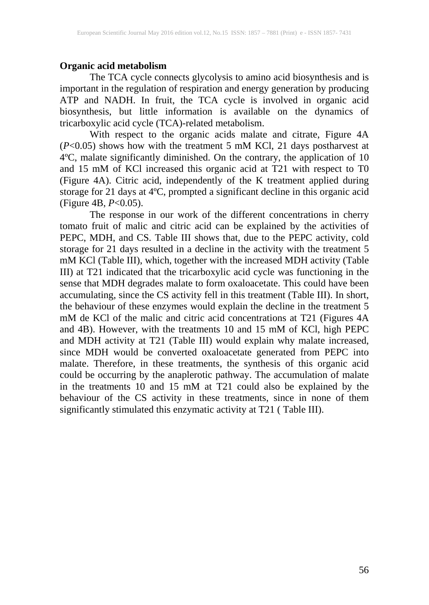## **Organic acid metabolism**

The TCA cycle connects glycolysis to amino acid biosynthesis and is important in the regulation of respiration and energy generation by producing ATP and NADH. In fruit, the TCA cycle is involved in organic acid biosynthesis, but little information is available on the dynamics of tricarboxylic acid cycle (TCA)-related metabolism.

With respect to the organic acids malate and citrate, Figure 4A (*P*<0.05) shows how with the treatment 5 mM KCl, 21 days postharvest at 4ºC, malate significantly diminished. On the contrary, the application of 10 and 15 mM of KCl increased this organic acid at T21 with respect to T0 (Figure 4A). Citric acid, independently of the K treatment applied during storage for 21 days at 4ºC, prompted a significant decline in this organic acid (Figure 4B, *P*<0.05).

The response in our work of the different concentrations in cherry tomato fruit of malic and citric acid can be explained by the activities of PEPC, MDH, and CS. Table III shows that, due to the PEPC activity, cold storage for 21 days resulted in a decline in the activity with the treatment 5 mM KCl (Table III), which, together with the increased MDH activity (Table III) at T21 indicated that the tricarboxylic acid cycle was functioning in the sense that MDH degrades malate to form oxaloacetate. This could have been accumulating, since the CS activity fell in this treatment (Table III). In short, the behaviour of these enzymes would explain the decline in the treatment 5 mM de KCl of the malic and citric acid concentrations at T21 (Figures 4A and 4B). However, with the treatments 10 and 15 mM of KCl, high PEPC and MDH activity at T21 (Table III) would explain why malate increased, since MDH would be converted oxaloacetate generated from PEPC into malate. Therefore, in these treatments, the synthesis of this organic acid could be occurring by the anaplerotic pathway. The accumulation of malate in the treatments 10 and 15 mM at T21 could also be explained by the behaviour of the CS activity in these treatments, since in none of them significantly stimulated this enzymatic activity at T21 ( Table III).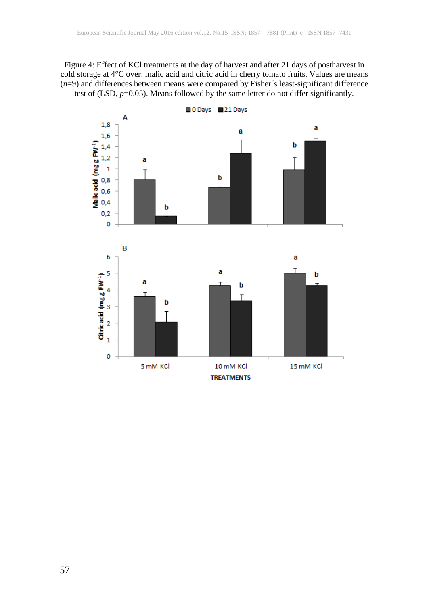Figure 4: Effect of KCl treatments at the day of harvest and after 21 days of postharvest in cold storage at 4°C over: malic acid and citric acid in cherry tomato fruits. Values are means (*n*=9) and differences between means were compared by Fisher´s least-significant difference test of (LSD,  $p=0.05$ ). Means followed by the same letter do not differ significantly.

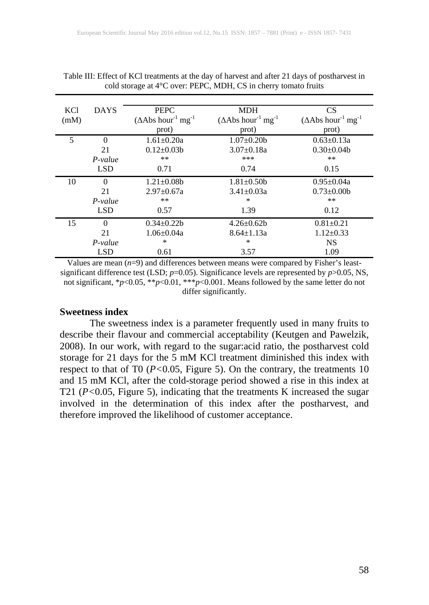| KCl  | <b>DAYS</b> | <b>PEPC</b>                                     | <b>MDH</b>                                       | <b>CS</b>                                       |
|------|-------------|-------------------------------------------------|--------------------------------------------------|-------------------------------------------------|
| (mM) |             | $(\Delta \text{Abs hour}^{-1} \text{ mg}^{-1})$ | $(\Delta A \text{bs hour}^{-1} \text{ mg}^{-1})$ | $(\Delta \text{Abs hour}^{-1} \text{ mg}^{-1})$ |
|      |             | prot)                                           | prot)                                            | prot)                                           |
| 5    | $\Omega$    | $1.61 \pm 0.20a$                                | $1.07 \pm 0.20$                                  | $0.63 \pm 0.13a$                                |
|      | 21          | $0.12 \pm 0.03 b$                               | $3.07 \pm 0.18a$                                 | $0.30 \pm 0.04$                                 |
|      | $P-value$   | $***$                                           | ***                                              | **                                              |
|      | <b>LSD</b>  | 0.71                                            | 0.74                                             | 0.15                                            |
| 10   | $\Omega$    | $1.21 \pm 0.08b$                                | $1.81 \pm 0.50$                                  | $0.95 \pm 0.04a$                                |
|      | 21          | $2.97 \pm 0.67a$                                | $3.41 \pm 0.03a$                                 | $0.73 \pm 0.00$                                 |
|      | $P-value$   | $***$                                           | ∗                                                | $***$                                           |
|      | <b>LSD</b>  | 0.57                                            | 1.39                                             | 0.12                                            |
| 15   | $\Omega$    | $0.34 \pm 0.22b$                                | $4.26 \pm 0.62 b$                                | $0.81 \pm 0.21$                                 |
|      | 21          | $1.06 \pm 0.04a$                                | $8.64 \pm 1.13a$                                 | $1.12 \pm 0.33$                                 |
|      | $P-value$   | $\ast$                                          | $\ast$                                           | <b>NS</b>                                       |
|      | <b>LSD</b>  | 0.61                                            | 3.57                                             | 1.09                                            |

#### Table III: Effect of KCl treatments at the day of harvest and after 21 days of postharvest in cold storage at 4°C over: PEPC, MDH, CS in cherry tomato fruits

Values are mean  $(n=9)$  and differences between means were compared by Fisher's leastsignificant difference test (LSD; *p*=0.05). Significance levels are represented by *p*>0.05, NS, not significant, \**p*<0.05, \*\**p*<0.01, \*\*\**p*<0.001. Means followed by the same letter do not differ significantly.

#### **Sweetness index**

The sweetness index is a parameter frequently used in many fruits to describe their flavour and commercial acceptability (Keutgen and Pawelzik, 2008). In our work, with regard to the sugar:acid ratio, the postharvest cold storage for 21 days for the 5 mM KCl treatment diminished this index with respect to that of T0 (*P<*0.05, Figure 5). On the contrary, the treatments 10 and 15 mM KCl, after the cold-storage period showed a rise in this index at T21 (*P<*0.05, Figure 5), indicating that the treatments K increased the sugar involved in the determination of this index after the postharvest, and therefore improved the likelihood of customer acceptance.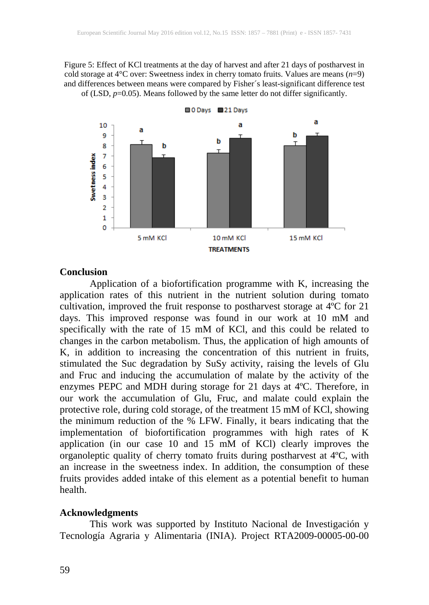Figure 5: Effect of KCl treatments at the day of harvest and after 21 days of postharvest in cold storage at 4°C over: Sweetness index in cherry tomato fruits. Values are means (*n*=9) and differences between means were compared by Fisher´s least-significant difference test of (LSD, *p*=0.05). Means followed by the same letter do not differ significantly.



#### **Conclusion**

Application of a biofortification programme with K, increasing the application rates of this nutrient in the nutrient solution during tomato cultivation, improved the fruit response to postharvest storage at 4ºC for 21 days. This improved response was found in our work at 10 mM and specifically with the rate of 15 mM of KCl, and this could be related to changes in the carbon metabolism. Thus, the application of high amounts of K, in addition to increasing the concentration of this nutrient in fruits, stimulated the Suc degradation by SuSy activity, raising the levels of Glu and Fruc and inducing the accumulation of malate by the activity of the enzymes PEPC and MDH during storage for 21 days at 4ºC. Therefore, in our work the accumulation of Glu, Fruc, and malate could explain the protective role, during cold storage, of the treatment 15 mM of KCl, showing the minimum reduction of the % LFW. Finally, it bears indicating that the implementation of biofortification programmes with high rates of K application (in our case 10 and 15 mM of KCl) clearly improves the organoleptic quality of cherry tomato fruits during postharvest at 4ºC, with an increase in the sweetness index. In addition, the consumption of these fruits provides added intake of this element as a potential benefit to human health.

#### **Acknowledgments**

This work was supported by Instituto Nacional de Investigación y Tecnología Agraria y Alimentaria (INIA). Project RTA2009-00005-00-00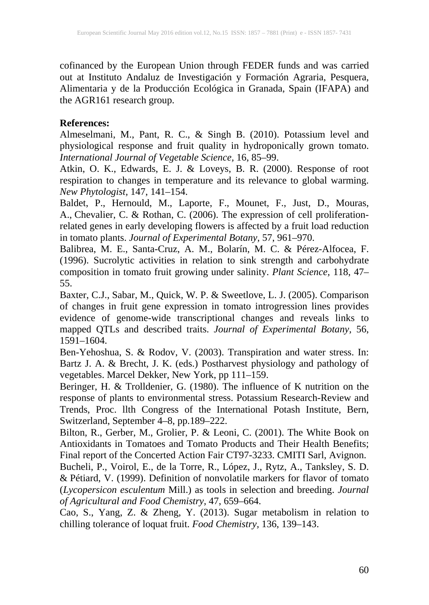cofinanced by the European Union through FEDER funds and was carried out at Instituto Andaluz de Investigación y Formación Agraria, Pesquera, Alimentaria y de la Producción Ecológica in Granada, Spain (IFAPA) and the AGR161 research group.

## **References:**

Almeselmani, M., Pant, R. C., & Singh B. (2010). Potassium level and physiological response and fruit quality in hydroponically grown tomato. *International Journal of Vegetable Science,* 16, 85–99.

Atkin, O. K., Edwards, E. J. & Loveys, B. R. (2000). Response of root respiration to changes in temperature and its relevance to global warming. *New Phytologist,* 147, 141–154.

Baldet, P., Hernould, M., Laporte, F., Mounet, F., Just, D., Mouras, A., Chevalier, C. & Rothan, C. (2006). The expression of cell proliferationrelated genes in early developing flowers is affected by a fruit load reduction in tomato plants. *Journal of Experimental Botany,* 57, 961–970.

Balibrea, M. E., Santa-Cruz, A. M., Bolarín, M. C. & Pérez-Alfocea, F. (1996). Sucrolytic activities in relation to sink strength and carbohydrate composition in tomato fruit growing under salinity. *Plant Science,* 118, 47– 55.

Baxter, C.J., Sabar, M., Quick, W. P. & Sweetlove, L. J. (2005). Comparison of changes in fruit gene expression in tomato introgression lines provides evidence of genome-wide transcriptional changes and reveals links to mapped QTLs and described traits. *Journal of Experimental Botany,* 56, 1591–1604.

Ben-Yehoshua, S. & Rodov, V. (2003). Transpiration and water stress. In: Bartz J. A. & Brecht, J. K. (eds.) Postharvest physiology and pathology of vegetables. Marcel Dekker, New York, pp 111–159.

Beringer, H. & Trolldenier, G. (1980). The influence of K nutrition on the response of plants to environmental stress. Potassium Research-Review and Trends, Proc. llth Congress of the International Potash Institute, Bern, Switzerland, September 4–8, pp.189–222.

Bilton, R., Gerber, M., Grolier, P. & Leoni, C. (2001). The White Book on Antioxidants in Tomatoes and Tomato Products and Their Health Benefits; Final report of the Concerted Action Fair CT97-3233. CMITI Sarl, Avignon.

Bucheli, P., Voirol, E., de la Torre, R., López, J., Rytz, A., Tanksley, S. D. & Pétiard, V. (1999). Definition of nonvolatile markers for flavor of tomato (*Lycopersicon esculentum* Mill.) as tools in selection and breeding. *Journal of Agricultural and Food Chemistry,* 47, 659–664.

Cao, S., Yang, Z. & Zheng, Y. (2013). Sugar metabolism in relation to chilling tolerance of loquat fruit. *Food Chemistry,* 136, 139–143.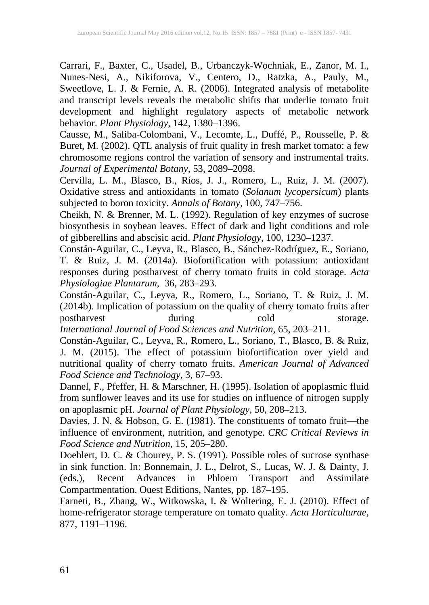Carrari, F., Baxter, C., Usadel, B., Urbanczyk-Wochniak, E., Zanor, M. I., Nunes-Nesi, A., Nikiforova, V., Centero, D., Ratzka, A., Pauly, M., Sweetlove, L. J. & Fernie, A. R. (2006). Integrated analysis of metabolite and transcript levels reveals the metabolic shifts that underlie tomato fruit development and highlight regulatory aspects of metabolic network behavior. *Plant Physiology,* 142, 1380–1396.

Causse, M., Saliba-Colombani, V., Lecomte, L., Duffé, P., Rousselle, P. & Buret, M. (2002). QTL analysis of fruit quality in fresh market tomato: a few chromosome regions control the variation of sensory and instrumental traits. *Journal of Experimental Botany,* 53, 2089–2098.

Cervilla, L. M., Blasco, B., Ríos, J. J., Romero, L., Ruiz, J. M. (2007). Oxidative stress and antioxidants in tomato (*Solanum lycopersicum*) plants subjected to boron toxicity. *Annals of Botany,* 100, 747–756.

Cheikh, N. & Brenner, M. L. (1992). Regulation of key enzymes of sucrose biosynthesis in soybean leaves. Effect of dark and light conditions and role of gibberellins and abscisic acid. *Plant Physiology,* 100, 1230–1237.

Constán-Aguilar, C., Leyva, R., Blasco, B., Sánchez-Rodríguez, E., Soriano, T. & Ruiz, J. M. (2014a). Biofortification with potassium: antioxidant responses during postharvest of cherry tomato fruits in cold storage. *Acta Physiologiae Plantarum,* 36, 283–293.

Constán-Aguilar, C., Leyva, R., Romero, L., Soriano, T. & Ruiz, J. M. (2014b). Implication of potassium on the quality of cherry tomato fruits after postharvest during cold storage. *International Journal of Food Sciences and Nutrition,* 65, 203–211.

Constán-Aguilar, C., Leyva, R., Romero, L., Soriano, T., Blasco, B. & Ruiz, J. M. (2015). The effect of potassium biofortification over yield and nutritional quality of cherry tomato fruits. *American Journal of Advanced Food Science and Technology,* 3, 67–93.

Dannel, F., Pfeffer, H. & Marschner, H. (1995). Isolation of apoplasmic fluid from sunflower leaves and its use for studies on influence of nitrogen supply on apoplasmic pH. *Journal of Plant Physiology,* 50, 208–213.

Davies, J. N. & Hobson, G. E. (1981). The constituents of tomato fruit—the influence of environment, nutrition, and genotype. *CRC Critical Reviews in Food Science and Nutrition,* 15, 205–280.

Doehlert, D. C. & Chourey, P. S. (1991). Possible roles of sucrose synthase in sink function. In: Bonnemain, J. L., Delrot, S., Lucas, W. J. & Dainty, J. (eds.), Recent Advances in Phloem Transport and Assimilate Compartmentation. Ouest Editions, Nantes, pp. 187–195.

Farneti, B., Zhang, W., Witkowska, I. & Woltering, E. J. (2010). Effect of home-refrigerator storage temperature on tomato quality. *Acta Horticulturae,* 877, 1191–1196.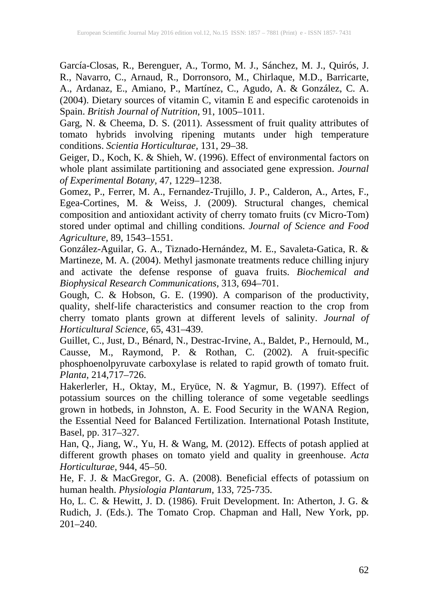García-Closas, R., Berenguer, A., Tormo, M. J., Sánchez, M. J., Quirós, J. R., Navarro, C., Arnaud, R., Dorronsoro, M., Chirlaque, M.D., Barricarte, A., Ardanaz, E., Amiano, P., Martínez, C., Agudo, A. & González, C. A. (2004). Dietary sources of vitamin C, vitamin E and especific carotenoids in Spain. *British Journal of Nutrition,* 91, 1005–1011.

Garg, N. & Cheema, D. S. (2011). Assessment of fruit quality attributes of tomato hybrids involving ripening mutants under high temperature conditions. *Scientia Horticulturae,* 131, 29–38.

Geiger, D., Koch, K. & Shieh, W. (1996). Effect of environmental factors on whole plant assimilate partitioning and associated gene expression. *Journal of Experimental Botany,* 47, 1229–1238.

Gomez, P., Ferrer, M. A., Fernandez-Trujillo, J. P., Calderon, A., Artes, F., Egea-Cortines, M. & Weiss, J. (2009). Structural changes, chemical composition and antioxidant activity of cherry tomato fruits (cv Micro-Tom) stored under optimal and chilling conditions. *Journal of Science and Food Agriculture,* 89, 1543–1551.

González-Aguilar, G. A., Tiznado-Hernández, M. E., Savaleta-Gatica, R. & Martineze, M. A. (2004). Methyl jasmonate treatments reduce chilling injury and activate the defense response of guava fruits. *Biochemical and Biophysical Research Communications,* 313, 694–701.

Gough, C. & Hobson, G. E. (1990). A comparison of the productivity, quality, shelf-life characteristics and consumer reaction to the crop from cherry tomato plants grown at different levels of salinity. *Journal of Horticultural Science,* 65, 431–439.

Guillet, C., Just, D., Bénard, N., Destrac-Irvine, A., Baldet, P., Hernould, M., Causse, M., Raymond, P. & Rothan, C. (2002). A fruit-specific phosphoenolpyruvate carboxylase is related to rapid growth of tomato fruit. *Planta,* 214,717–726.

Hakerlerler, H., Oktay, M., Eryüce, N. & Yagmur, B. (1997). Effect of potassium sources on the chilling tolerance of some vegetable seedlings grown in hotbeds, in Johnston, A. E. Food Security in the WANA Region, the Essential Need for Balanced Fertilization. International Potash Institute, Basel, pp. 317–327.

Han, Q., Jiang, W., Yu, H. & Wang, M. (2012). Effects of potash applied at different growth phases on tomato yield and quality in greenhouse. *Acta Horticulturae,* 944, 45–50.

He, F. J. & MacGregor, G. A. (2008). Beneficial effects of potassium on human health. *Physiologia Plantarum,* 133, 725-735.

Ho, L. C. & Hewitt, J. D. (1986). Fruit Development. In: Atherton, J. G. & Rudich, J. (Eds.). The Tomato Crop. Chapman and Hall, New York, pp. 201–240.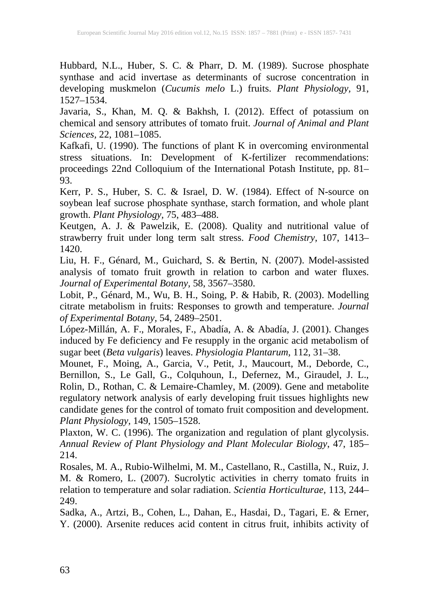Hubbard, N.L., Huber, S. C. & Pharr, D. M. (1989). Sucrose phosphate synthase and acid invertase as determinants of sucrose concentration in developing muskmelon (*Cucumis melo* L.) fruits. *Plant Physiology,* 91, 1527–1534.

Javaria, S., Khan, M. Q. & Bakhsh, I. (2012). Effect of potassium on chemical and sensory attributes of tomato fruit. *Journal of Animal and Plant Sciences,* 22, 1081–1085.

Kafkafi, U. (1990). The functions of plant K in overcoming environmental stress situations. In: Development of K-fertilizer recommendations: proceedings 22nd Colloquium of the International Potash Institute, pp. 81– 93.

Kerr, P. S., Huber, S. C. & Israel, D. W. (1984). Effect of N-source on soybean leaf sucrose phosphate synthase, starch formation, and whole plant growth. *Plant Physiology,* 75, 483–488.

Keutgen, A. J. & Pawelzik, E. (2008). Quality and nutritional value of strawberry fruit under long term salt stress. *Food Chemistry,* 107, 1413– 1420.

Liu, H. F., Génard, M., Guichard, S. & Bertin, N. (2007). Model-assisted analysis of tomato fruit growth in relation to carbon and water fluxes. *Journal of Experimental Botany,* 58, 3567–3580.

Lobit, P., Génard, M., Wu, B. H., Soing, P. & Habib, R. (2003). Modelling citrate metabolism in fruits: Responses to growth and temperature. *Journal of Experimental Botany,* 54, 2489–2501.

López-Millán, A. F., Morales, F., Abadía, A. & Abadía, J. (2001). Changes induced by Fe deficiency and Fe resupply in the organic acid metabolism of sugar beet (*Beta vulgaris*) leaves. *Physiologia Plantarum,* 112, 31–38.

Mounet, F., Moing, A., Garcia, V., Petit, J., Maucourt, M., Deborde, C., Bernillon, S., Le Gall, G., Colquhoun, I., Defernez, M., Giraudel, J. L., Rolin, D., Rothan, C. & Lemaire-Chamley, M. (2009). Gene and metabolite regulatory network analysis of early developing fruit tissues highlights new candidate genes for the control of tomato fruit composition and development. *Plant Physiology,* 149, 1505–1528.

Plaxton, W. C. (1996). The organization and regulation of plant glycolysis. *Annual Review of Plant Physiology and Plant Molecular Biology*, 47, 185– 214.

Rosales, M. A., Rubio-Wilhelmi, M. M., Castellano, R., Castilla, N., Ruiz, J. M. & Romero, L. (2007). Sucrolytic activities in cherry tomato fruits in relation to temperature and solar radiation. *Scientia Horticulturae,* 113, 244– 249.

Sadka, A., Artzi, B., Cohen, L., Dahan, E., Hasdai, D., Tagari, E. & Erner, Y. (2000). Arsenite reduces acid content in citrus fruit, inhibits activity of